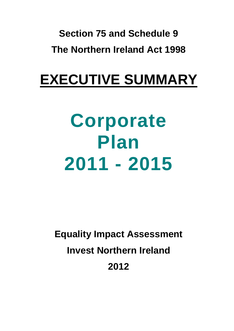### **Section 75 and Schedule 9 The Northern Ireland Act 1998**

## **EXECUTIVE SUMMARY**

# **Corporate Plan 2011 - 2015**

**Equality Impact Assessment Invest Northern Ireland 2012**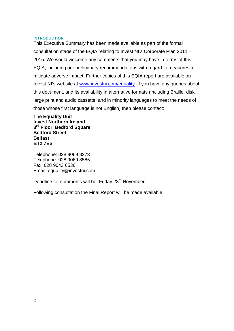#### **INTRODUCTION**

This Executive Summary has been made available as part of the formal consultation stage of the EQIA relating to Invest NI's Corporate Plan 2011 – 2015. We would welcome any comments that you may have in terms of this EQIA, including our preliminary recommendations with regard to measures to mitigate adverse impact. Further copies of this EQIA report are available on Invest NI's website at [www.investni.com/equality.](http://www.investni.com/equality) If you have any queries about this document, and its availability in alternative formats (including Braille, disk, large print and audio cassette, and in minority languages to meet the needs of those whose first language is not English) then please contact:

**The Equality Unit Invest Northern Ireland 3rd Floor, Bedford Square Bedford Street Belfast BT2 7ES**

Telephone: 028 9069 8273 Textphone: 028 9069 8585 Fax: 028 9043 6536 Email: equality@investni.com

Deadline for comments will be: Friday 23<sup>rd</sup> November.

Following consultation the Final Report will be made available.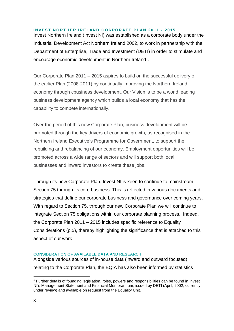#### **INVEST NORTHER IRELAND CORPORATE PLAN 2011 - 2015**

Invest Northern Ireland (Invest NI) was established as a corporate body under the Industrial Development Act Northern Ireland 2002, to work in partnership with the Department of Enterprise, Trade and Investment (DETI) in order to stimulate and encourage economic development in Northern Ireland<sup>[1](#page-2-0)</sup>.

Our Corporate Plan 2011 – 2015 aspires to build on the successful delivery of the earlier Plan (2008-2011) by continually improving the Northern Ireland economy through cbusiness development. Our Vision is to be a world leading business development agency which builds a local economy that has the capability to compete internationally.

Over the period of this new Corporate Plan, business development will be promoted through the key drivers of economic growth, as recognised in the Northern Ireland Executive's Programme for Government, to support the rebuilding and rebalancing of our economy. Employment opportunities will be promoted across a wide range of sectors and will support both local businesses and inward investors to create these jobs.

Through its new Corporate Plan, Invest NI is keen to continue to mainstream Section 75 through its core business. This is reflected in various documents and strategies that define our corporate business and governance over coming years. With regard to Section 75, through our new Corporate Plan we will continue to integrate Section 75 obligations within our corporate planning process. Indeed, the Corporate Plan 2011 – 2015 includes specific reference to Equality Considerations (p.5), thereby highlighting the significance that is attached to this aspect of our work

#### **CONSIDERATION OF AVAILABLE DATA AND RESEARCH**

Alongside various sources of in-house data (inward and outward focused) relating to the Corporate Plan, the EQIA has also been informed by statistics

<span id="page-2-0"></span><sup>&</sup>lt;sup>1</sup> Further details of founding legislation, roles, powers and responsibilities can be found in Invest NI's Management Statement and Financial Memorandum, issued by DETI (April, 2002, currently under review) and available on request from the Equality Unit.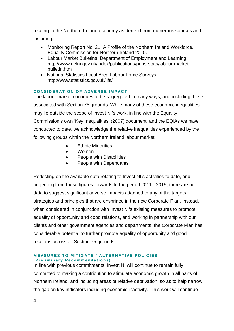relating to the Northern Ireland economy as derived from numerous sources and

including:

- Monitoring Report No. 21: A Profile of the Northern Ireland Workforce. Equality Commission for Northern Ireland 2010.
- Labour Market Bulletins. Department of Employment and Learning. http://www.delni.gov.uk/index/publications/pubs-stats/labour-marketbulletin.htm
- National Statistics Local Area Labour Force Surveys. http://www.statistics.gov.uk/llfs/

#### **CONSIDERATION OF ADVERSE IMPACT**

The labour market continues to be segregated in many ways, and including those associated with Section 75 grounds. While many of these economic inequalities may lie outside the scope of Invest NI's work. in line with the Equality Commission's own 'Key Inequalities' (2007) document, and the EQIAs we have conducted to date, we acknowledge the relative inequalities experienced by the following groups within the Northern Ireland labour market:

- **Ethnic Minorities**
- Women
- People with Disabilities
- People with Dependants

Reflecting on the available data relating to Invest NI's activities to date, and projecting from these figures forwards to the period 2011 - 2015, there are no data to suggest significant adverse impacts attached to any of the targets, strategies and principles that are enshrined in the new Corporate Plan. Instead, when considered in conjunction with Invest NI's existing measures to promote equality of opportunity and good relations, and working in partnership with our clients and other government agencies and departments, the Corporate Plan has considerable potential to further promote equality of opportunity and good relations across all Section 75 grounds.

#### **MEASURES TO MITIGATE / ALTERNATIVE POLICIES (Preliminary Recommendations)**

In line with previous commitments, Invest NI will continue to remain fully committed to making a contribution to stimulate economic growth in all parts of Northern Ireland, and including areas of relative deprivation, so as to help narrow the gap on key indicators including economic inactivity. This work will continue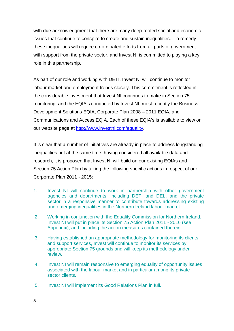with due acknowledgment that there are many deep-rooted social and economic issues that continue to conspire to create and sustain inequalities. To remedy these inequalities will require co-ordinated efforts from all parts of government with support from the private sector, and Invest NI is committed to playing a key role in this partnership.

As part of our role and working with DETI, Invest NI will continue to monitor labour market and employment trends closely. This commitment is reflected in the considerable investment that Invest NI continues to make in Section 75 monitoring, and the EQIA's conducted by Invest NI, most recently the Business Development Solutions EQIA, Corporate Plan 2008 – 2011 EQIA, and Communications and Access EQIA. Each of these EQIA's is available to view on our website page at [http://www.investni.com/equality.](http://www.investni.com/equality)

It is clear that a number of initiatives are already in place to address longstanding inequalities but at the same time, having considered all available data and research, it is proposed that Invest NI will build on our existing EQIAs and Section 75 Action Plan by taking the following specific actions in respect of our Corporate Plan 2011 - 2015:

- 1. Invest NI will continue to work in partnership with other government agencies and departments, including DETI and DEL, and the private sector in a responsive manner to contribute towards addressing existing and emerging inequalities in the Northern Ireland labour market.
- 2. Working in conjunction with the Equality Commission for Northern Ireland, Invest NI will put in place its Section 75 Action Plan 2011 - 2016 (see Appendix), and including the action measures contained therein.
- 3. Having established an appropriate methodology for monitoring its clients and support services, Invest will continue to monitor its services by appropriate Section 75 grounds and will keep its methodology under review.
- 4. Invest NI will remain responsive to emerging equality of opportunity issues associated with the labour market and in particular among its private sector clients.
- 5. Invest NI will implement its Good Relations Plan in full.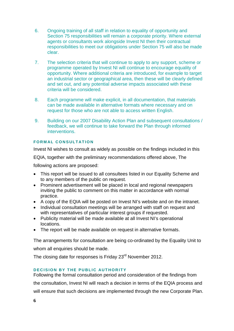- 6. Ongoing training of all staff in relation to equality of opportunity and Section 75 responsibilities will remain a corporate priority. Where external agents or consultants work alongside Invest NI then their contractual responsibilities to meet our obligations under Section 75 will also be made clear.
- 7. The selection criteria that will continue to apply to any support, scheme or programme operated by Invest NI will continue to encourage equality of opportunity. Where additional criteria are introduced, for example to target an industrial sector or geographical area, then these will be clearly defined and set out, and any potential adverse impacts associated with these criteria will be considered.
- 8. Each programme will make explicit, in all documentation, that materials can be made available in alternative formats where necessary and on request for those who are not able to access written English.
- 9. Building on our 2007 Disability Action Plan and subsequent consultations / feedback, we will continue to take forward the Plan through informed interventions.

#### **FORMAL CONSULTATION**

Invest NI wishes to consult as widely as possible on the findings included in this EQIA, together with the preliminary recommendations offered above, The

following actions are proposed:

- This report will be issued to all consultees listed in our Equality Scheme and to any members of the public on request.
- Prominent advertisement will be placed in local and regional newspapers inviting the public to comment on this matter in accordance with normal practice.
- A copy of the EQIA will be posted on Invest NI's website and on the intranet.
- Individual consultation meetings will be arranged with staff on request and with representatives of particular interest groups if requested.
- Publicity material will be made available at all Invest NI's operational locations.
- The report will be made available on request in alternative formats.

The arrangements for consultation are being co-ordinated by the Equality Unit to whom all enquiries should be made.

The closing date for responses is Friday 23<sup>rd</sup> November 2012.

#### **DECISION BY THE PUBLIC AUTHORITY**

Following the formal consultation period and consideration of the findings from the consultation, Invest NI will reach a decision in terms of the EQIA process and will ensure that such decisions are implemented through the new Corporate Plan.